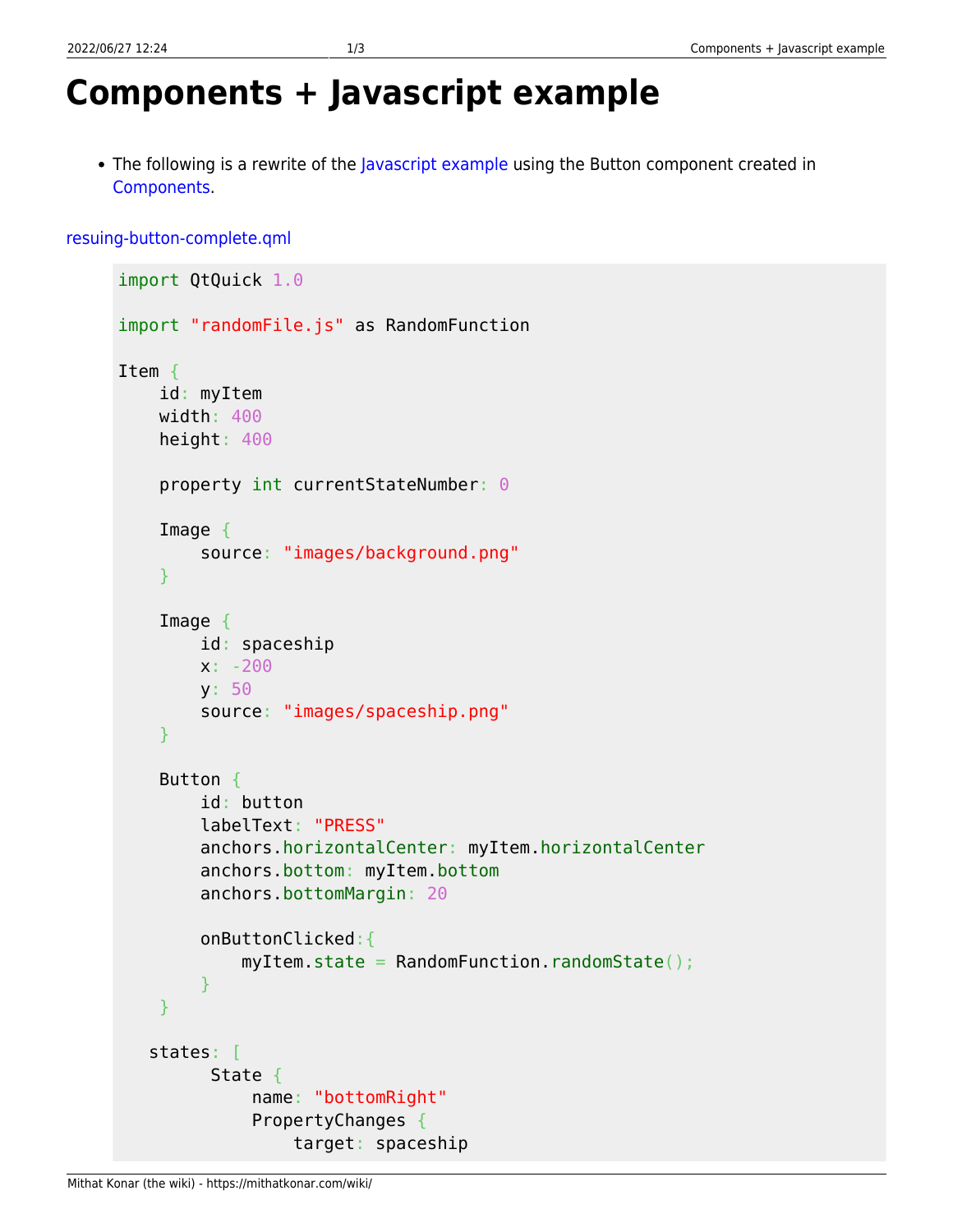## **Components + Javascript example**

• The following is a rewrite of the [Javascript example](https://mithatkonar.com/wiki/doku.php/qt-quick-for-designers-1/qt_quick_and_javascript) using the Button component created in [Components](https://mithatkonar.com/wiki/doku.php/qt-quick-for-designers-1/components).

[resuing-button-complete.qml](https://mithatkonar.com/wiki/doku.php/qt-quick-for-designers-1/components_javascript_example?do=export_code&codeblock=0)

```
import QtQuick 1.0
import "randomFile.js" as RandomFunction
Item {
     id: myItem
     width: 400
     height: 400
     property int currentStateNumber: 0
     Image {
         source: "images/background.png"
     }
     Image {
         id: spaceship
         x: -200
         y: 50
         source: "images/spaceship.png"
     }
     Button {
         id: button
         labelText: "PRESS"
         anchors.horizontalCenter: myItem.horizontalCenter
         anchors.bottom: myItem.bottom
         anchors.bottomMargin: 20
         onButtonClicked:{
              myItem.state = RandomFunction.randomState();
         }
     }
    states: [
          State {
               name: "bottomRight"
               PropertyChanges {
                   target: spaceship
```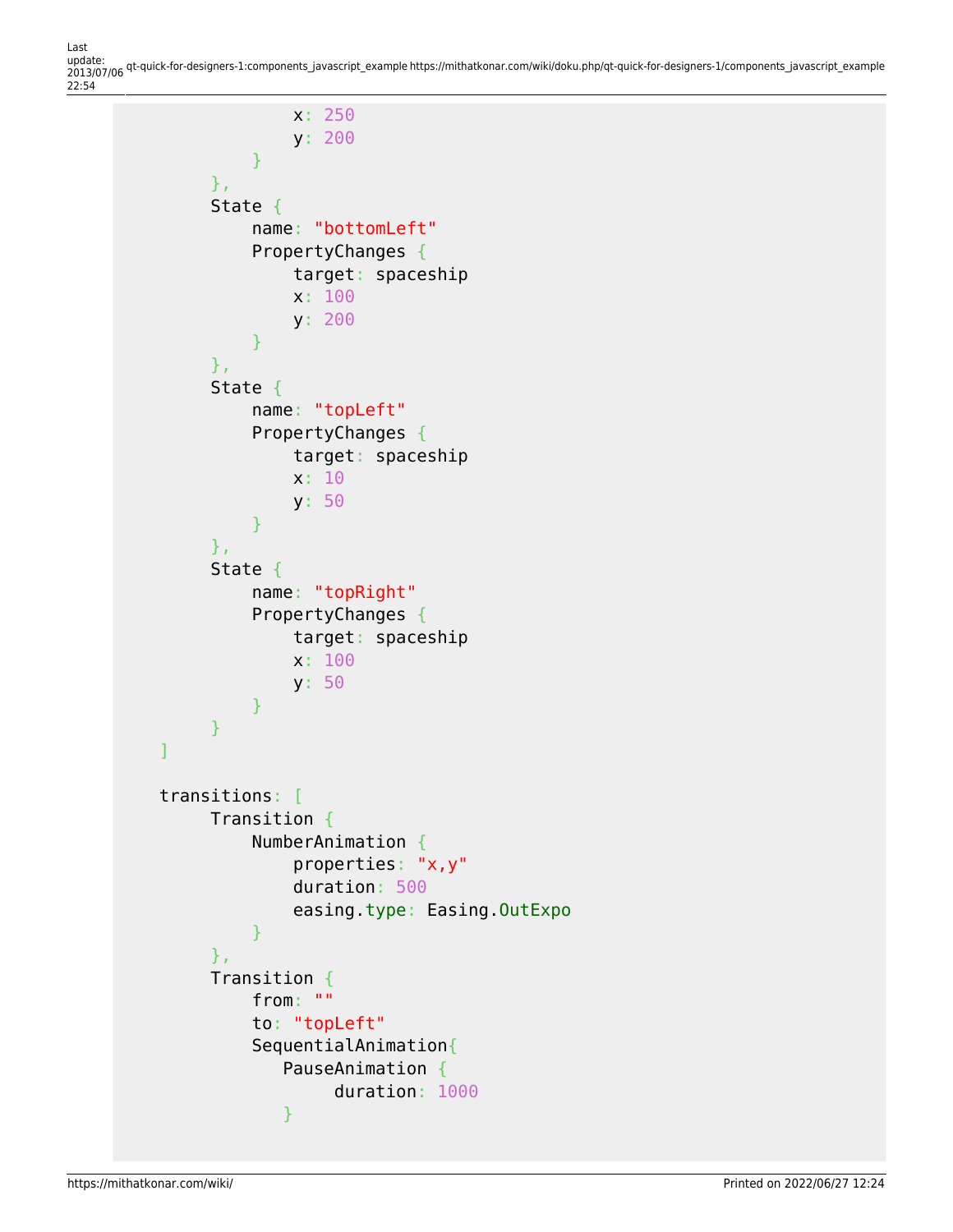Last update: 2013/07/06 qt-quick-for-designers-1:components\_javascript\_example https://mithatkonar.com/wiki/doku.php/qt-quick-for-designers-1/components\_javascript\_example 22:54

```
 x: 250
                    y: 200
 }
           },
           State {
                name: "bottomLeft"
                PropertyChanges {
                    target: spaceship
                    x: 100
                    y: 200
 }
           },
           State {
                name: "topLeft"
                PropertyChanges {
                    target: spaceship
                    x: 10
                    y: 50
 }
           },
           State {
                name: "topRight"
                PropertyChanges {
                    target: spaceship
                    x: 100
                    y: 50
 }
           }
 ]
     transitions: [
           Transition {
                NumberAnimation {
                    properties: "x,y"
                    duration: 500
                    easing.type: Easing.OutExpo
 }
           },
           Transition {
                from: ""
                to: "topLeft"
                SequentialAnimation{
                   PauseAnimation {
                         duration: 1000
and the state of the state of the state of the state of the state of the state of the state of the state of the
```